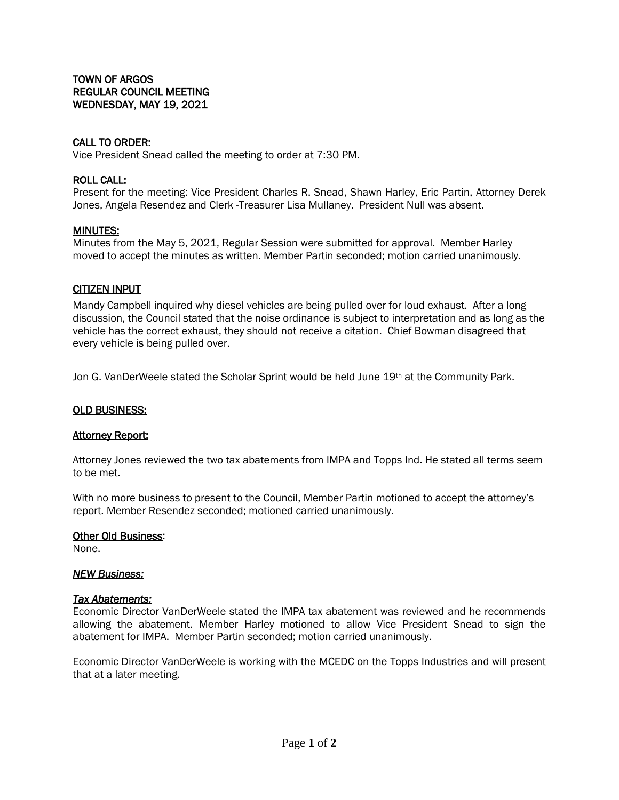## CALL TO ORDER:

Vice President Snead called the meeting to order at 7:30 PM.

### ROLL CALL:

Present for the meeting: Vice President Charles R. Snead, Shawn Harley, Eric Partin, Attorney Derek Jones, Angela Resendez and Clerk -Treasurer Lisa Mullaney. President Null was absent.

### MINUTES:

Minutes from the May 5, 2021, Regular Session were submitted for approval. Member Harley moved to accept the minutes as written. Member Partin seconded; motion carried unanimously.

### CITIZEN INPUT

Mandy Campbell inquired why diesel vehicles are being pulled over for loud exhaust. After a long discussion, the Council stated that the noise ordinance is subject to interpretation and as long as the vehicle has the correct exhaust, they should not receive a citation. Chief Bowman disagreed that every vehicle is being pulled over.

Jon G. VanDerWeele stated the Scholar Sprint would be held June 19<sup>th</sup> at the Community Park.

#### OLD BUSINESS:

#### **Attorney Report:**

Attorney Jones reviewed the two tax abatements from IMPA and Topps Ind. He stated all terms seem to be met.

With no more business to present to the Council, Member Partin motioned to accept the attorney's report. Member Resendez seconded; motioned carried unanimously.

#### Other Old Business:

None.

#### *NEW Business:*

#### *Tax Abatements:*

Economic Director VanDerWeele stated the IMPA tax abatement was reviewed and he recommends allowing the abatement. Member Harley motioned to allow Vice President Snead to sign the abatement for IMPA. Member Partin seconded; motion carried unanimously.

Economic Director VanDerWeele is working with the MCEDC on the Topps Industries and will present that at a later meeting.